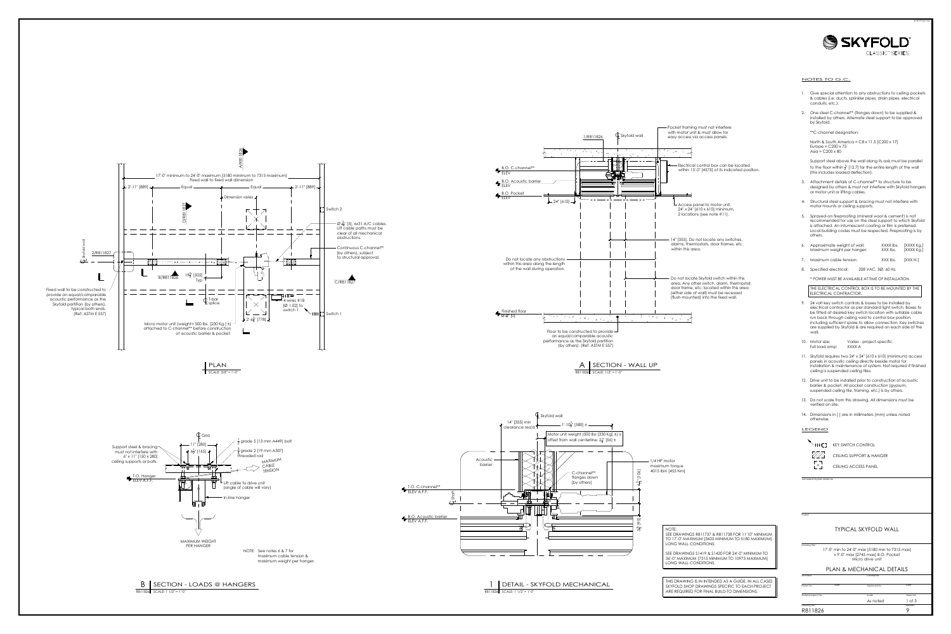C/R811827







- 
- 

- 
- 
- 

| Approximate weight of wall: | XXXX lbs. | [XXXX Kg.] |
|-----------------------------|-----------|------------|
| Maximum weight per hanger:  | XXX lbs.  | [XXXX Kg.] |
|                             |           |            |

- 
- 

- 
- 
- 
- 
- 
- 
- 



Project<br>
Drawing title<br>
17'-0" min to 24'-0" max [5180 min to 7315 max]<br>
x 9'-0" max [2745 max] B.O. Pocket<br>
Micro drive unit<br>
PLAN & MECHANICAL DETAILS<br>
Architect Contractor<br>
Drawn by Date Approved by Date<br>
Skyfold projec



![](_page_0_Figure_1.jpeg)